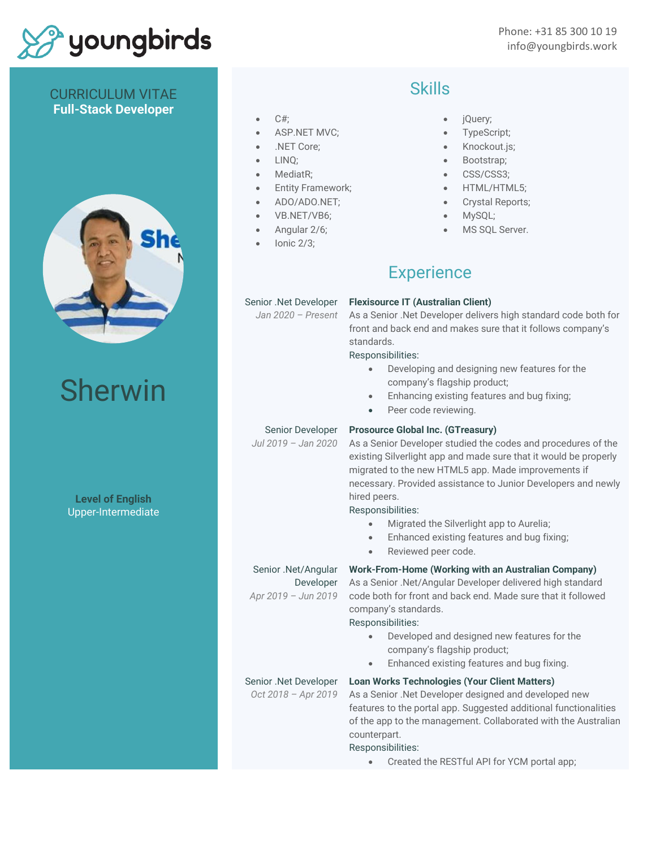# youngbirds

### CURRICULUM VITAE **Full-Stack Developer**



# Sherwin

**Level of English** Upper-Intermediate

#### $C#$ ;

- ASP.NET MVC;
- .NET Core;
- LINQ;
- MediatR:
- Entity Framework;
- ADO/ADO.NET;
- VB.NET/VB6;
- Angular 2/6;
- Ionic 2/3;

### Skills

- jQuery;
- TypeScript;
- Knockout.js;
- Bootstrap;
- CSS/CSS3;
- HTML/HTML5;
- Crystal Reports;
- MySQL;
- MS SOL Server.

# **Experience**

#### Senior .Net Developer

*Jan 2020 – Present*

**Flexisource IT (Australian Client)** As a Senior .Net Developer delivers high standard code both for front and back end and makes sure that it follows company's standards.

#### Responsibilities:

- Developing and designing new features for the company's flagship product;
- Enhancing existing features and bug fixing;
- Peer code reviewing.

#### Senior Developer

*Jul 2019 – Jan 2020*

#### **Prosource Global Inc. (GTreasury)**

As a Senior Developer studied the codes and procedures of the existing Silverlight app and made sure that it would be properly migrated to the new HTML5 app. Made improvements if necessary. Provided assistance to Junior Developers and newly hired peers.

Responsibilities:

- Migrated the Silverlight app to Aurelia;
- Enhanced existing features and bug fixing;
- Reviewed peer code.

#### Senior .Net/Angular Developer

*Apr 2019 – Jun 2019*

**Work-From-Home (Working with an Australian Company)** As a Senior .Net/Angular Developer delivered high standard code both for front and back end. Made sure that it followed

company's standards.

- Responsibilities:
	- Developed and designed new features for the company's flagship product;
	- Enhanced existing features and bug fixing.

**Loan Works Technologies (Your Client Matters)**

Senior .Net Developer *Oct 2018 – Apr 2019*

As a Senior .Net Developer designed and developed new features to the portal app. Suggested additional functionalities of the app to the management. Collaborated with the Australian counterpart.

Responsibilities:

• Created the RESTful API for YCM portal app;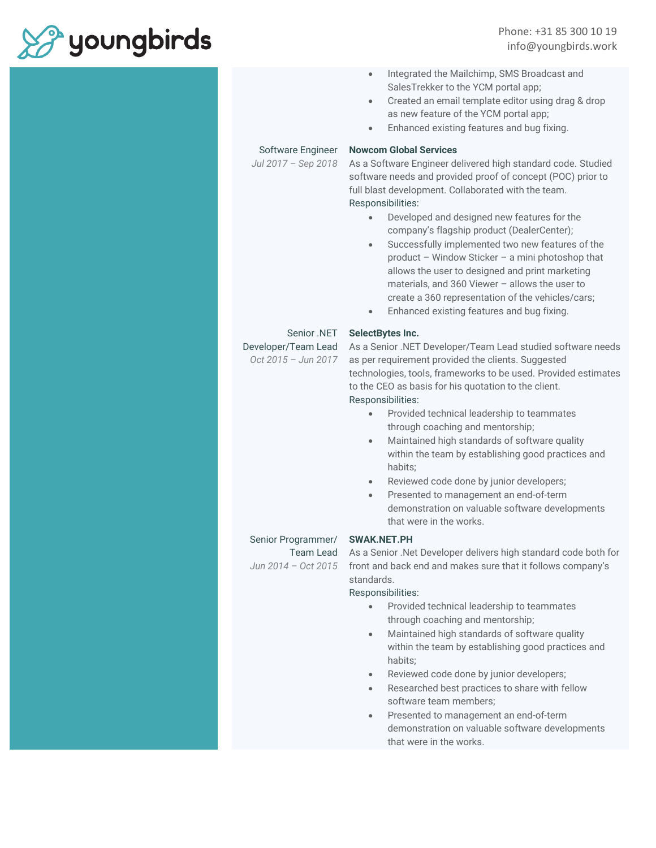

Phone: +31 85 300 10 19 info@youngbirds.work

- Integrated the Mailchimp, SMS Broadcast and SalesTrekker to the YCM portal app;
- Created an email template editor using drag & drop as new feature of the YCM portal app;
- Enhanced existing features and bug fixing.

#### Software Engineer

*Jul 2017 – Sep 2018*

#### As a Software Engineer delivered high standard code. Studied software needs and provided proof of concept (POC) prior to full blast development. Collaborated with the team. Responsibilities:

- Developed and designed new features for the company's flagship product (DealerCenter);
- Successfully implemented two new features of the product – Window Sticker – a mini photoshop that allows the user to designed and print marketing materials, and 360 Viewer – allows the user to create a 360 representation of the vehicles/cars;
- Enhanced existing features and bug fixing.

#### Senior .NET

Developer/Team Lead

*Oct 2015 – Jun 2017*

#### **SelectBytes Inc.**

**Nowcom Global Services**

As a Senior .NET Developer/Team Lead studied software needs as per requirement provided the clients. Suggested technologies, tools, frameworks to be used. Provided estimates to the CEO as basis for his quotation to the client. Responsibilities:

- Provided technical leadership to teammates through coaching and mentorship;
- Maintained high standards of software quality within the team by establishing good practices and habits;
- Reviewed code done by junior developers;
- Presented to management an end-of-term demonstration on valuable software developments that were in the works.

#### Senior Programmer/

Team Lead *Jun 2014 – Oct 2015*

#### **SWAK.NET.PH**

As a Senior .Net Developer delivers high standard code both for front and back end and makes sure that it follows company's standards.

#### Responsibilities:

- Provided technical leadership to teammates through coaching and mentorship;
- Maintained high standards of software quality within the team by establishing good practices and habits;
- Reviewed code done by junior developers;
- Researched best practices to share with fellow software team members;
- Presented to management an end-of-term demonstration on valuable software developments that were in the works.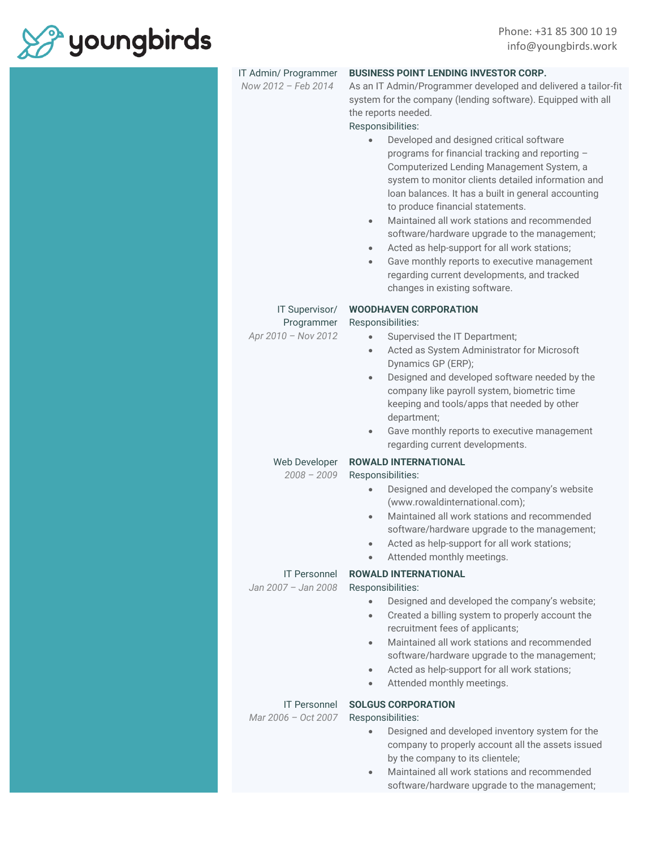

| IT Admin/ Programmer<br>Now 2012 - Feb 2014         | <b>BUSINESS POINT LENDING INVESTOR CORP.</b><br>As an IT Admin/Programmer developed and delivered a tailor-fit<br>system for the company (lending software). Equipped with all<br>the reports needed.<br>Responsibilities:<br>Developed and designed critical software<br>$\bullet$<br>programs for financial tracking and reporting -<br>Computerized Lending Management System, a<br>system to monitor clients detailed information and<br>loan balances. It has a built in general accounting<br>to produce financial statements.<br>Maintained all work stations and recommended<br>$\bullet$<br>software/hardware upgrade to the management;<br>Acted as help-support for all work stations;<br>$\bullet$<br>Gave monthly reports to executive management<br>$\bullet$<br>regarding current developments, and tracked<br>changes in existing software. |
|-----------------------------------------------------|-------------------------------------------------------------------------------------------------------------------------------------------------------------------------------------------------------------------------------------------------------------------------------------------------------------------------------------------------------------------------------------------------------------------------------------------------------------------------------------------------------------------------------------------------------------------------------------------------------------------------------------------------------------------------------------------------------------------------------------------------------------------------------------------------------------------------------------------------------------|
| IT Supervisor/<br>Programmer<br>Apr 2010 - Nov 2012 | <b>WOODHAVEN CORPORATION</b><br>Responsibilities:<br>Supervised the IT Department;<br>$\bullet$<br>Acted as System Administrator for Microsoft<br>$\bullet$<br>Dynamics GP (ERP);<br>Designed and developed software needed by the<br>$\bullet$<br>company like payroll system, biometric time<br>keeping and tools/apps that needed by other<br>department;<br>Gave monthly reports to executive management<br>$\bullet$<br>regarding current developments.                                                                                                                                                                                                                                                                                                                                                                                                |
| Web Developer<br>$2008 - 2009$                      | <b>ROWALD INTERNATIONAL</b><br>Responsibilities:<br>Designed and developed the company's website<br>$\bullet$<br>(www.rowaldinternational.com);<br>Maintained all work stations and recommended<br>$\bullet$<br>software/hardware upgrade to the management;<br>Acted as help-support for all work stations;<br>Attended monthly meetings.                                                                                                                                                                                                                                                                                                                                                                                                                                                                                                                  |
| <b>IT Personnel</b><br>Jan 2007 - Jan 2008          | <b>ROWALD INTERNATIONAL</b><br>Responsibilities:<br>Designed and developed the company's website;<br>$\bullet$<br>Created a billing system to properly account the<br>$\bullet$<br>recruitment fees of applicants;<br>Maintained all work stations and recommended<br>$\bullet$<br>software/hardware upgrade to the management;<br>Acted as help-support for all work stations;<br>$\bullet$<br>Attended monthly meetings.<br>$\bullet$                                                                                                                                                                                                                                                                                                                                                                                                                     |
| <b>IT Personnel</b><br>Mar 2006 - Oct 2007          | <b>SOLGUS CORPORATION</b><br>Responsibilities:<br>Designed and developed inventory system for the<br>$\bullet$<br>company to properly account all the assets issued<br>by the company to its clientele;<br>Maintained all work stations and recommended<br>$\bullet$<br>software/hardware upgrade to the management;                                                                                                                                                                                                                                                                                                                                                                                                                                                                                                                                        |